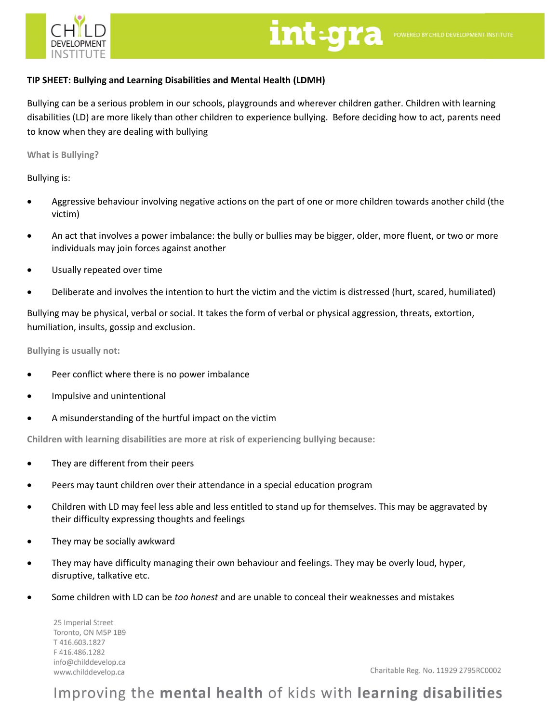

# int-gra POWERED BY CHILD DEVELOPMENT INSTITUTE

### **TIP SHEET: Bullying and Learning Disabilities and Mental Health (LDMH)**

Bullying can be a serious problem in our schools, playgrounds and wherever children gather. Children with learning disabilities (LD) are more likely than other children to experience bullying. Before deciding how to act, parents need to know when they are dealing with bullying

**What is Bullying?**

Bullying is:

- Aggressive behaviour involving negative actions on the part of one or more children towards another child (the victim)
- An act that involves a power imbalance: the bully or bullies may be bigger, older, more fluent, or two or more individuals may join forces against another
- Usually repeated over time
- Deliberate and involves the intention to hurt the victim and the victim is distressed (hurt, scared, humiliated)

Bullying may be physical, verbal or social. It takes the form of verbal or physical aggression, threats, extortion, humiliation, insults, gossip and exclusion.

**Bullying is usually not:**

- Peer conflict where there is no power imbalance
- Impulsive and unintentional
- A misunderstanding of the hurtful impact on the victim

**Children with learning disabilities are more at risk of experiencing bullying because:**

- They are different from their peers
- Peers may taunt children over their attendance in a special education program
- Children with LD may feel less able and less entitled to stand up for themselves. This may be aggravated by their difficulty expressing thoughts and feelings
- They may be socially awkward
- They may have difficulty managing their own behaviour and feelings. They may be overly loud, hyper, disruptive, talkative etc.
- Some children with LD can be *too honest* and are unable to conceal their weaknesses and mistakes

25 Imperial Street Toronto, ON M5P 1B9 T416.603.1827 F416.486.1282 info@childdevelop.ca www.childdevelop.ca

Charitable Reg. No. 11929 2795RC0002

## Improving the mental health of kids with learning disabilities